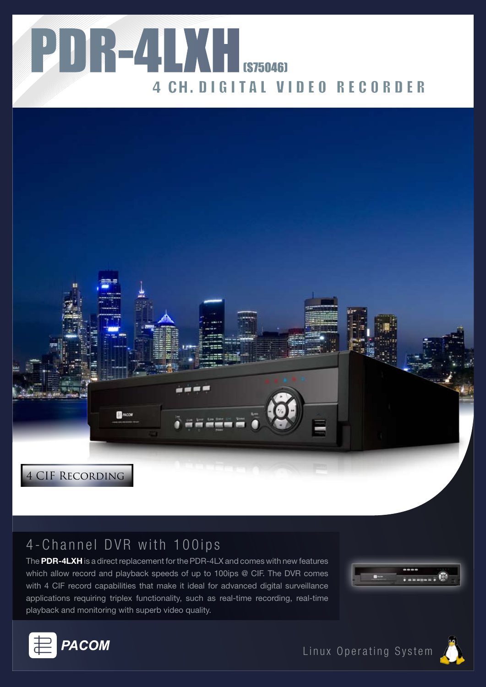



# 4-Channel DVR with 100ips

The **PDR-4LXH** is a direct replacement for the PDR-4LX and comes with new features which allow record and playback speeds of up to 100ips @ CIF. The DVR comes with 4 CIF record capabilities that make it ideal for advanced digital surveillance applications requiring triplex functionality, such as real-time recording, real-time playback and monitoring with superb video quality.